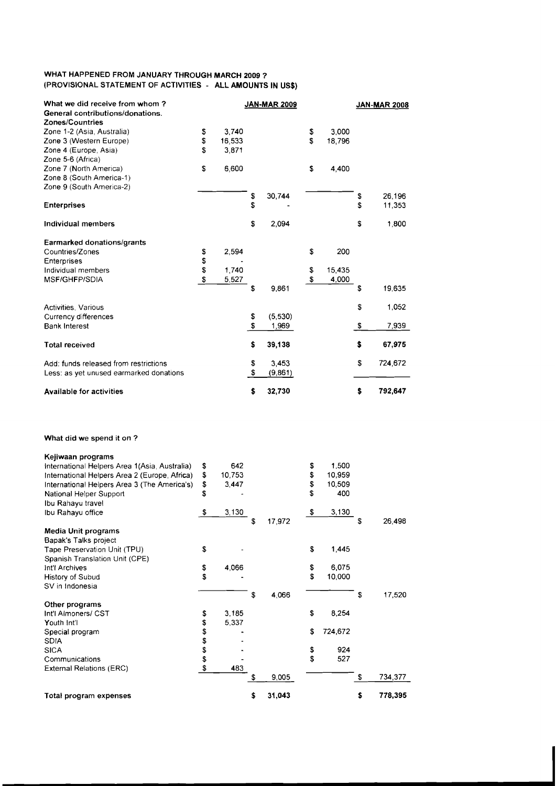## WHAT HAPPENED FROM JANUARY THROUGH MARCH **2009** ? (PROVISIONAL STATEMENT OF ACTIVITIES - ALL AMOUNTS IN US\$)

| What we did receive from whom?<br>General contributions/donations.                                       |                |                          |          | <b>JAN-MAR 2009</b> |          |                 |          | <b>JAN-MAR 2008</b> |
|----------------------------------------------------------------------------------------------------------|----------------|--------------------------|----------|---------------------|----------|-----------------|----------|---------------------|
| <b>Zones/Countries</b><br>Zone 1-2 (Asia, Australia)<br>Zone 3 (Western Europe)<br>Zone 4 (Europe, Asia) | \$<br>\$<br>\$ | 3,740<br>16,533<br>3,871 |          |                     | \$<br>\$ | 3,000<br>18,796 |          |                     |
| Zone 5-6 (Africa)<br>Zone 7 (North America)<br>Zone 8 (South America-1)<br>Zone 9 (South America-2)      | \$             | 6,600                    |          |                     | \$       | 4,400           |          |                     |
| <b>Enterprises</b>                                                                                       |                |                          | \$<br>\$ | 30,744              |          |                 | \$<br>\$ | 26,196<br>11,353    |
| Individual members                                                                                       |                |                          | \$       | 2.094               |          |                 | \$       | 1,800               |
| Earmarked donations/grants<br>Countries/Zones<br>Enterprises<br>Individual members                       | \$<br>\$<br>\$ | 2,594<br>1.740           |          |                     | \$<br>\$ | 200<br>15,435   |          |                     |
| MSF/GHFP/SDIA                                                                                            | \$             | 5,527                    | \$       | 9,861               | \$       | 4,000           | \$       | 19,635              |
| Activities, Various                                                                                      |                |                          | \$       | (5,530)             |          |                 | \$       | 1,052               |
| Currency differences<br><b>Bank Interest</b>                                                             |                |                          | \$       | 1,969               |          |                 | -\$      | 7,939               |
| <b>Total received</b>                                                                                    |                |                          | \$       | 39,138              |          |                 | \$       | 67,975              |
| Add: funds released from restrictions<br>Less: as yet unused earmarked donations                         |                |                          | \$<br>\$ | 3,453<br>(9, 861)   |          |                 | \$       | 724,672             |
| <b>Available for activities</b>                                                                          |                |                          | \$       | 32,730              |          |                 | \$       | 792,647             |
|                                                                                                          |                |                          |          |                     |          |                 |          |                     |
| What did we spend it on?                                                                                 |                |                          |          |                     |          |                 |          |                     |
| Keiiwaan nroorams                                                                                        |                |                          |          |                     |          |                 |          |                     |

| Total program expenses                        |          |        | \$<br>31,043 |               | \$<br>778,395 |
|-----------------------------------------------|----------|--------|--------------|---------------|---------------|
|                                               |          |        | 9,005        |               | 734,377       |
| External Relations (ERC)                      | \$       | 483    |              |               |               |
| Communications                                |          |        |              | \$<br>527     |               |
| <b>SICA</b>                                   |          |        |              | \$<br>924     |               |
| <b>SDIA</b>                                   |          |        |              |               |               |
| Special program                               | \$\$\$\$ |        |              | \$<br>724,672 |               |
| Youth Int'l                                   | \$       | 5,337  |              |               |               |
| Int'l Almoners/ CST                           | \$       | 3,185  |              | \$<br>8,254   |               |
| Other programs                                |          |        |              |               |               |
|                                               |          |        | \$<br>4,066  |               | \$<br>17,520  |
| SV in Indonesia                               |          |        |              |               |               |
| History of Subud                              | \$       |        |              | \$<br>10,000  |               |
| Int'l Archives                                | \$       | 4,066  |              | \$<br>6,075   |               |
| Spanish Translation Unit (CPE)                |          |        |              |               |               |
| Tape Preservation Unit (TPU)                  | \$       |        |              | \$<br>1,445   |               |
| Bapak's Talks project                         |          |        |              |               |               |
| <b>Media Unit programs</b>                    |          |        |              |               |               |
|                                               |          |        | \$<br>17,972 |               | \$<br>26,498  |
| Ibu Rahayu office                             | -\$      | 3,130  |              | \$<br>3,130   |               |
| Ibu Rahayu travel                             |          |        |              |               |               |
| National Helper Support                       | \$       |        |              | \$<br>400     |               |
| International Helpers Area 3 (The America's)  | \$       | 3,447  |              | \$<br>10,509  |               |
| International Helpers Area 2 (Europe, Africa) | \$       | 10,753 |              | \$<br>10,959  |               |
| International Helpers Area 1(Asia, Australia) | \$       | 642    |              | \$<br>1,500   |               |
| Rejiwaan programs                             |          |        |              |               |               |